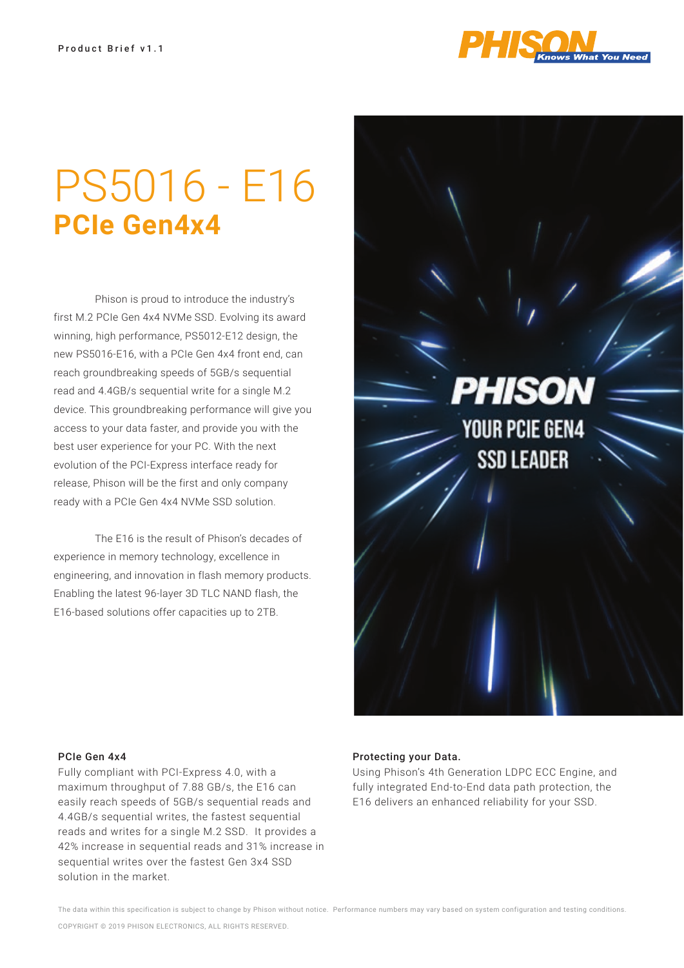

## PS5016 - E16 **PCIe Gen4x4**

 Phison is proud to introduce the industry's first M.2 PCIe Gen 4x4 NVMe SSD. Evolving its award winning, high performance, PS5012-E12 design, the new PS5016-E16, with a PCIe Gen 4x4 front end, can reach groundbreaking speeds of 5GB/s sequential read and 4.4GB/s sequential write for a single M.2 device. This groundbreaking performance will give you access to your data faster, and provide you with the best user experience for your PC. With the next evolution of the PCI-Express interface ready for release, Phison will be the first and only company ready with a PCIe Gen 4x4 NVMe SSD solution.

 The E16 is the result of Phison's decades of experience in memory technology, excellence in engineering, and innovation in flash memory products. Enabling the latest 96-layer 3D TLC NAND flash, the E16-based solutions offer capacities up to 2TB.

PHISON **YOUR PCIE GEN4 SSD LEADER** 

## PCIe Gen 4x4

Fully compliant with PCI-Express 4.0, with a maximum throughput of 7.88 GB/s, the E16 can easily reach speeds of 5GB/s sequential reads and 4.4GB/s sequential writes, the fastest sequential reads and writes for a single M.2 SSD. It provides a 42% increase in sequential reads and 31% increase in sequential writes over the fastest Gen 3x4 SSD solution in the market.

## Protecting your Data.

Using Phison's 4th Generation LDPC ECC Engine, and fully integrated End-to-End data path protection, the E16 delivers an enhanced reliability for your SSD.